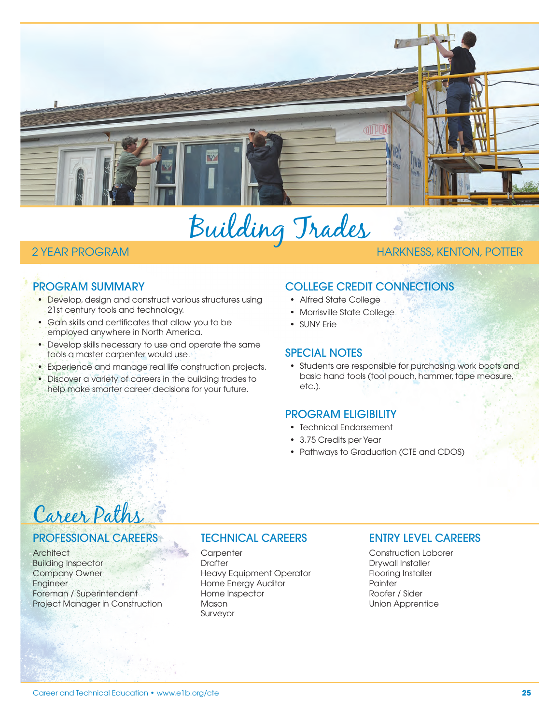

Building Trades

#### 2 YEAR PROGRAM HARKNESS, KENTON, POTTER

## PROGRAM SUMMARY

- Develop, design and construct various structures using 21st century tools and technology.
- Gain skills and certificates that allow you to be employed anywhere in North America.
- Develop skills necessary to use and operate the same tools a master carpenter would use.
- Experience and manage real life construction projects.
- Discover a variety of careers in the building trades to help make smarter career decisions for your future.

# COLLEGE CREDIT CONNECTIONS

- Alfred State College
- Morrisville State College
- SUNY Frie

#### SPECIAL NOTES

• Students are responsible for purchasing work boots and basic hand tools (tool pouch, hammer, tape measure, etc.).

## PROGRAM ELIGIBILITY

- Technical Endorsement
- 3.75 Credits per Year
- Pathways to Graduation (CTE and CDOS)

# Career Paths

## PROFESSIONAL CAREERS

**Architect** Building Inspector Company Owner Engineer Foreman / Superintendent Project Manager in Construction

## TECHNICAL CAREERS

**Carpenter Drafter** Heavy Equipment Operator Home Energy Auditor Home Inspector Mason Surveyor

## ENTRY LEVEL CAREERS

Construction Laborer Drywall Installer Flooring Installer Painter Roofer / Sider Union Apprentice